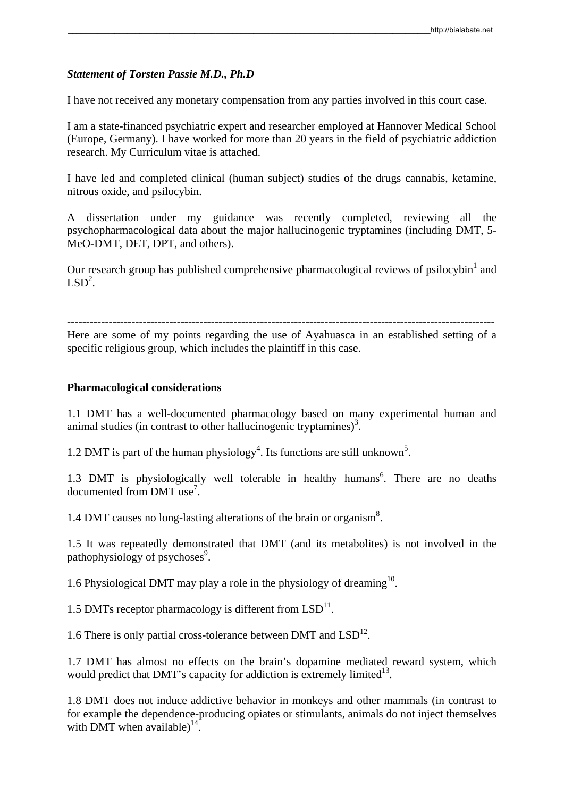# *Statement of Torsten Passie M.D., Ph.D*

I have not received any monetary compensation from any parties involved in this court case.

I am a state-financed psychiatric expert and researcher employed at Hannover Medical School (Europe, Germany). I have worked for more than 20 years in the field of psychiatric addiction research. My Curriculum vitae is attached.

I have led and completed clinical (human subject) studies of the drugs cannabis, ketamine, nitrous oxide, and psilocybin.

A dissertation under my guidance was recently completed, reviewing all the psychopharmacological data about the major hallucinogenic tryptamines (including DMT, 5- MeO-DMT, DET, DPT, and others).

Our research group has published comprehensive pharmacological reviews of psilocybin $^1$  and  $LSD<sup>2</sup>$ .

-----------------------------------------------------------------------------------------------------------------

Here are some of my points regarding the use of Ayahuasca in an established setting of a specific religious group, which includes the plaintiff in this case.

# **Pharmacological considerations**

1.1 DMT has a well-documented pharmacology based on many experimental human and animal studies (in contrast to other hallucinogenic tryptamines)<sup>3</sup>.

1.2 DMT is part of the human physiology<sup>4</sup>. Its functions are still unknown<sup>5</sup>.

1.3 DMT is physiologically well tolerable in healthy humans<sup>6</sup>. There are no deaths documented from DMT use<sup>7</sup> .

1.4 DMT causes no long-lasting alterations of the brain or organism<sup>8</sup>.

1.5 It was repeatedly demonstrated that DMT (and its metabolites) is not involved in the pathophysiology of psychoses<sup>9</sup>.

1.6 Physiological DMT may play a role in the physiology of dreaming<sup>10</sup>.

1.5 DMTs receptor pharmacology is different from  $LSD<sup>11</sup>$ .

1.6 There is only partial cross-tolerance between DMT and  $LSD<sup>12</sup>$ .

1.7 DMT has almost no effects on the brain's dopamine mediated reward system, which would predict that DMT's capacity for addiction is extremely limited<sup>13</sup>.

1.8 DMT does not induce addictive behavior in monkeys and other mammals (in contrast to for example the dependence-producing opiates or stimulants, animals do not inject themselves with DMT when available)<sup>14</sup>.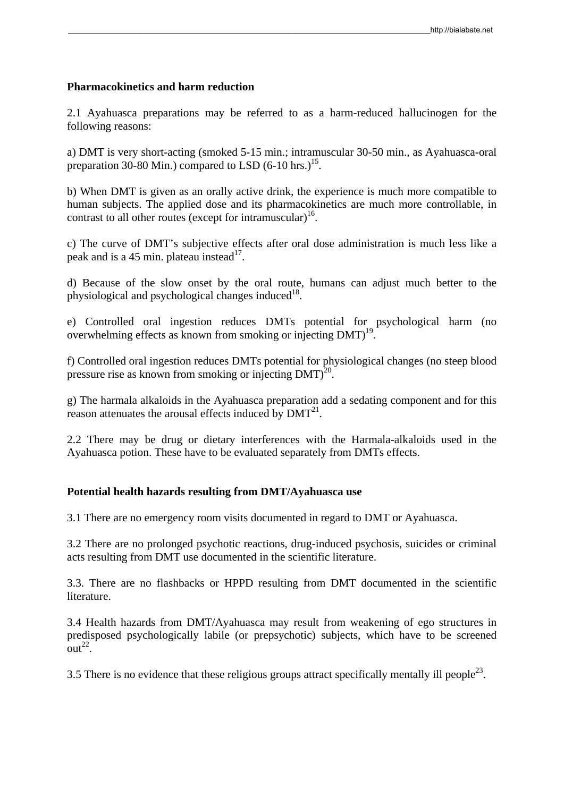# **Pharmacokinetics and harm reduction**

2.1 Ayahuasca preparations may be referred to as a harm-reduced hallucinogen for the following reasons:

a) DMT is very short-acting (smoked 5-15 min.; intramuscular 30-50 min., as Ayahuasca-oral preparation 30-80 Min.) compared to LSD  $(6-10 \text{ hrs.})^{15}$ .

b) When DMT is given as an orally active drink, the experience is much more compatible to human subjects. The applied dose and its pharmacokinetics are much more controllable, in contrast to all other routes (except for intramuscular)<sup>16</sup>.

c) The curve of DMT's subjective effects after oral dose administration is much less like a peak and is a 45 min. plateau instead<sup>17</sup>.

d) Because of the slow onset by the oral route, humans can adjust much better to the physiological and psychological changes induced $18$ .

e) Controlled oral ingestion reduces DMTs potential for psychological harm (no overwhelming effects as known from smoking or injecting DMT)<sup>19</sup>

f) Controlled oral ingestion reduces DMTs potential for physiological changes (no steep blood pressure rise as known from smoking or injecting  $DMT<sup>20</sup>$ .

g) The harmala alkaloids in the Ayahuasca preparation add a sedating component and for this reason attenuates the arousal effects induced by  $DMT<sup>21</sup>$ .

2.2 There may be drug or dietary interferences with the Harmala-alkaloids used in the Ayahuasca potion. These have to be evaluated separately from DMTs effects.

# **Potential health hazards resulting from DMT/Ayahuasca use**

3.1 There are no emergency room visits documented in regard to DMT or Ayahuasca.

3.2 There are no prolonged psychotic reactions, drug-induced psychosis, suicides or criminal acts resulting from DMT use documented in the scientific literature.

3.3. There are no flashbacks or HPPD resulting from DMT documented in the scientific literature.

3.4 Health hazards from DMT/Ayahuasca may result from weakening of ego structures in predisposed psychologically labile (or prepsychotic) subjects, which have to be screened  $\arctan^{22}$ .

3.5 There is no evidence that these religious groups attract specifically mentally ill people<sup>23</sup>.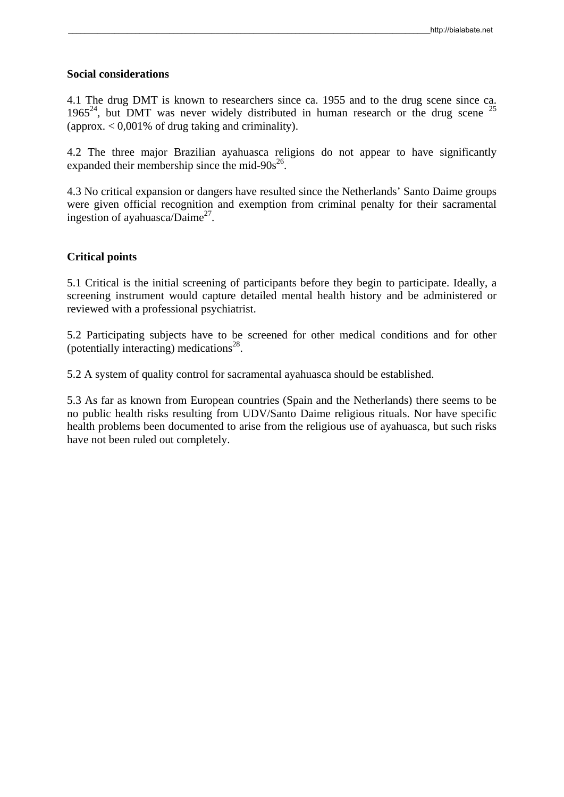#### **Social considerations**

4.1 The drug DMT is known to researchers since ca. 1955 and to the drug scene since ca. 1965<sup>24</sup>, but DMT was never widely distributed in human research or the drug scene <sup>25</sup> (approx.  $< 0.001\%$  of drug taking and criminality).

4.2 The three major Brazilian ayahuasca religions do not appear to have significantly expanded their membership since the mid- $90s^{26}$ .

4.3 No critical expansion or dangers have resulted since the Netherlands' Santo Daime groups were given official recognition and exemption from criminal penalty for their sacramental ingestion of ayahuasca/Daime<sup>27</sup>.

# **Critical points**

5.1 Critical is the initial screening of participants before they begin to participate. Ideally, a screening instrument would capture detailed mental health history and be administered or reviewed with a professional psychiatrist.

5.2 Participating subjects have to be screened for other medical conditions and for other (potentially interacting) medications<sup>28</sup>.

5.2 A system of quality control for sacramental ayahuasca should be established.

5.3 As far as known from European countries (Spain and the Netherlands) there seems to be no public health risks resulting from UDV/Santo Daime religious rituals. Nor have specific health problems been documented to arise from the religious use of ayahuasca, but such risks have not been ruled out completely.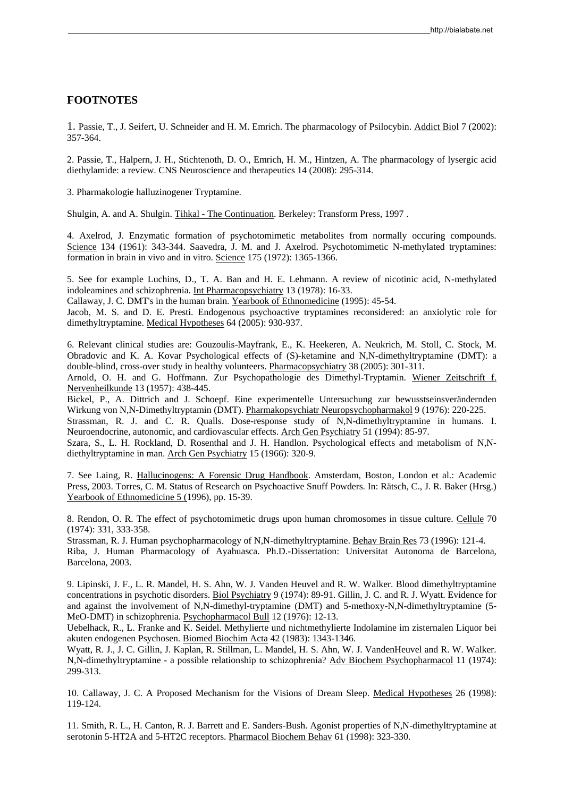#### **FOOTNOTES**

1. Passie, T., J. Seifert, U. Schneider and H. M. Emrich. The pharmacology of Psilocybin. Addict Biol 7 (2002): 357-364.

2. Passie, T., Halpern, J. H., Stichtenoth, D. O., Emrich, H. M., Hintzen, A. The pharmacology of lysergic acid diethylamide: a review. CNS Neuroscience and therapeutics 14 (2008): 295-314.

3. Pharmakologie halluzinogener Tryptamine.

Shulgin, A. and A. Shulgin. Tihkal - The Continuation. Berkeley: Transform Press, 1997 .

4. Axelrod, J. Enzymatic formation of psychotomimetic metabolites from normally occuring compounds. Science 134 (1961): 343-344. Saavedra, J. M. and J. Axelrod. Psychotomimetic N-methylated tryptamines: formation in brain in vivo and in vitro. Science 175 (1972): 1365-1366.

5. See for example Luchins, D., T. A. Ban and H. E. Lehmann. A review of nicotinic acid, N-methylated indoleamines and schizophrenia. Int Pharmacopsychiatry 13 (1978): 16-33.

Callaway, J. C. DMT's in the human brain. Yearbook of Ethnomedicine (1995): 45-54.

Jacob, M. S. and D. E. Presti. Endogenous psychoactive tryptamines reconsidered: an anxiolytic role for dimethyltryptamine. Medical Hypotheses 64 (2005): 930-937.

6. Relevant clinical studies are: Gouzoulis-Mayfrank, E., K. Heekeren, A. Neukrich, M. Stoll, C. Stock, M. Obradovic and K. A. Kovar Psychological effects of (S)-ketamine and N,N-dimethyltryptamine (DMT): a double-blind, cross-over study in healthy volunteers. Pharmacopsychiatry 38 (2005): 301-311.

Arnold, O. H. and G. Hoffmann. Zur Psychopathologie des Dimethyl-Tryptamin. Wiener Zeitschrift f. Nervenheilkunde 13 (1957): 438-445.

Bickel, P., A. Dittrich and J. Schoepf. Eine experimentelle Untersuchung zur bewusstseinsverändernden Wirkung von N,N-Dimethyltryptamin (DMT). Pharmakopsychiatr Neuropsychopharmakol 9 (1976): 220-225.

Strassman, R. J. and C. R. Qualls. Dose-response study of N,N-dimethyltryptamine in humans. I. Neuroendocrine, autonomic, and cardiovascular effects. Arch Gen Psychiatry 51 (1994): 85-97.

Szara, S., L. H. Rockland, D. Rosenthal and J. H. Handlon. Psychological effects and metabolism of N,Ndiethyltryptamine in man. Arch Gen Psychiatry 15 (1966): 320-9.

7. See Laing, R. Hallucinogens: A Forensic Drug Handbook. Amsterdam, Boston, London et al.: Academic Press, 2003. Torres, C. M. Status of Research on Psychoactive Snuff Powders. In: Rätsch, C., J. R. Baker (Hrsg.) Yearbook of Ethnomedicine 5 (1996), pp. 15-39.

8. Rendon, O. R. The effect of psychotomimetic drugs upon human chromosomes in tissue culture. Cellule 70 (1974): 331, 333-358.

Strassman, R. J. Human psychopharmacology of N,N-dimethyltryptamine. Behav Brain Res 73 (1996): 121-4. Riba, J. Human Pharmacology of Ayahuasca. Ph.D.-Dissertation: Universitat Autonoma de Barcelona, Barcelona, 2003.

9. Lipinski, J. F., L. R. Mandel, H. S. Ahn, W. J. Vanden Heuvel and R. W. Walker. Blood dimethyltryptamine concentrations in psychotic disorders. Biol Psychiatry 9 (1974): 89-91. Gillin, J. C. and R. J. Wyatt. Evidence for and against the involvement of N,N-dimethyl-tryptamine (DMT) and 5-methoxy-N,N-dimethyltryptamine (5- MeO-DMT) in schizophrenia. Psychopharmacol Bull 12 (1976): 12-13.

Uebelhack, R., L. Franke and K. Seidel. Methylierte und nichtmethylierte Indolamine im zisternalen Liquor bei akuten endogenen Psychosen. Biomed Biochim Acta 42 (1983): 1343-1346.

Wyatt, R. J., J. C. Gillin, J. Kaplan, R. Stillman, L. Mandel, H. S. Ahn, W. J. VandenHeuvel and R. W. Walker. N,N-dimethyltryptamine - a possible relationship to schizophrenia? Adv Biochem Psychopharmacol 11 (1974): 299-313.

10. Callaway, J. C. A Proposed Mechanism for the Visions of Dream Sleep. Medical Hypotheses 26 (1998): 119-124.

11. Smith, R. L., H. Canton, R. J. Barrett and E. Sanders-Bush. Agonist properties of N,N-dimethyltryptamine at serotonin 5-HT2A and 5-HT2C receptors. Pharmacol Biochem Behav 61 (1998): 323-330.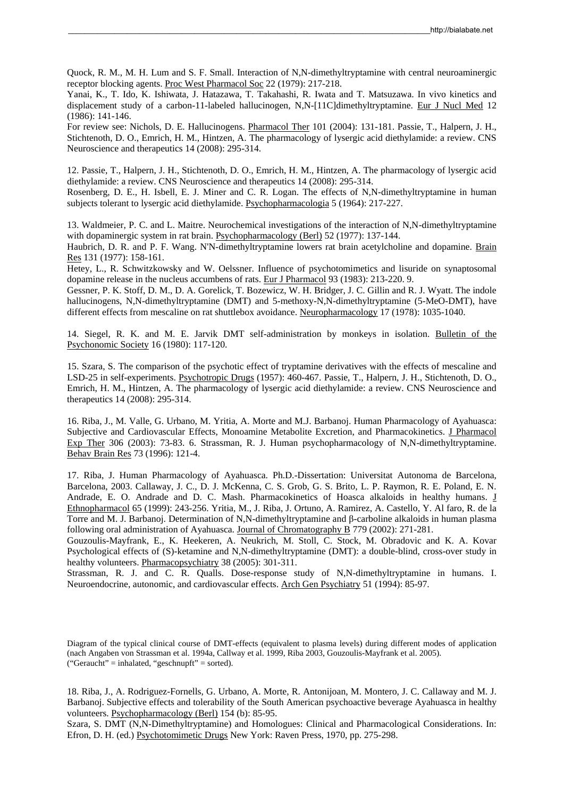Quock, R. M., M. H. Lum and S. F. Small. Interaction of N,N-dimethyltryptamine with central neuroaminergic receptor blocking agents. Proc West Pharmacol Soc 22 (1979): 217-218.

Yanai, K., T. Ido, K. Ishiwata, J. Hatazawa, T. Takahashi, R. Iwata and T. Matsuzawa. In vivo kinetics and displacement study of a carbon-11-labeled hallucinogen, N,N-[11C]dimethyltryptamine. Eur J Nucl Med 12 (1986): 141-146.

For review see: Nichols, D. E. Hallucinogens. Pharmacol Ther 101 (2004): 131-181. Passie, T., Halpern, J. H., Stichtenoth, D. O., Emrich, H. M., Hintzen, A. The pharmacology of lysergic acid diethylamide: a review. CNS Neuroscience and therapeutics 14 (2008): 295-314.

12. Passie, T., Halpern, J. H., Stichtenoth, D. O., Emrich, H. M., Hintzen, A. The pharmacology of lysergic acid diethylamide: a review. CNS Neuroscience and therapeutics 14 (2008): 295-314.

Rosenberg, D. E., H. Isbell, E. J. Miner and C. R. Logan. The effects of N,N-dimethyltryptamine in human subjects tolerant to lysergic acid diethylamide. Psychopharmacologia 5 (1964): 217-227.

13. Waldmeier, P. C. and L. Maitre. Neurochemical investigations of the interaction of N,N-dimethyltryptamine with dopaminergic system in rat brain. Psychopharmacology (Berl) 52 (1977): 137-144.

Haubrich, D. R. and P. F. Wang. N'N-dimethyltryptamine lowers rat brain acetylcholine and dopamine. Brain <u>Res</u> 131 (1977): 158-161.

Hetey, L., R. Schwitzkowsky and W. Oelssner. Influence of psychotomimetics and lisuride on synaptosomal dopamine release in the nucleus accumbens of rats. Eur J Pharmacol 93 (1983): 213-220. 9.

Gessner, P. K. Stoff, D. M., D. A. Gorelick, T. Bozewicz, W. H. Bridger, J. C. Gillin and R. J. Wyatt. The indole hallucinogens, N,N-dimethyltryptamine (DMT) and 5-methoxy-N,N-dimethyltryptamine (5-MeO-DMT), have different effects from mescaline on rat shuttlebox avoidance. Neuropharmacology 17 (1978): 1035-1040.

14. Siegel, R. K. and M. E. Jarvik DMT self-administration by monkeys in isolation. Bulletin of the Psychonomic Society 16 (1980): 117-120.

15. Szara, S. The comparison of the psychotic effect of tryptamine derivatives with the effects of mescaline and LSD-25 in self-experiments. Psychotropic Drugs (1957): 460-467. Passie, T., Halpern, J. H., Stichtenoth, D. O., Emrich, H. M., Hintzen, A. The pharmacology of lysergic acid diethylamide: a review. CNS Neuroscience and therapeutics 14 (2008): 295-314.

16. Riba, J., M. Valle, G. Urbano, M. Yritia, A. Morte and M.J. Barbanoj. Human Pharmacology of Ayahuasca: Subjective and Cardiovascular Effects, Monoamine Metabolite Excretion, and Pharmacokinetics. J Pharmacol Exp Ther 306 (2003): 73-83. 6. Strassman, R. J. Human psychopharmacology of N,N-dimethyltryptamine. Behav Brain Res 73 (1996): 121-4.

17. Riba, J. Human Pharmacology of Ayahuasca. Ph.D.-Dissertation: Universitat Autonoma de Barcelona, Barcelona, 2003. Callaway, J. C., D. J. McKenna, C. S. Grob, G. S. Brito, L. P. Raymon, R. E. Poland, E. N. Andrade, E. O. Andrade and D. C. Mash. Pharmacokinetics of Hoasca alkaloids in healthy humans. J Ethnopharmacol 65 (1999): 243-256. Yritia, M., J. Riba, J. Ortuno, A. Ramirez, A. Castello, Y. Al faro, R. de la Torre and M. J. Barbanoj. Determination of N,N-dimethyltryptamine and β-carboline alkaloids in human plasma following oral administration of Ayahuasca. Journal of Chromatography B 779 (2002): 271-281.

Gouzoulis-Mayfrank, E., K. Heekeren, A. Neukrich, M. Stoll, C. Stock, M. Obradovic and K. A. Kovar Psychological effects of (S)-ketamine and N,N-dimethyltryptamine (DMT): a double-blind, cross-over study in healthy volunteers. Pharmacopsychiatry 38 (2005): 301-311.

Strassman, R. J. and C. R. Qualls. Dose-response study of N,N-dimethyltryptamine in humans. I. Neuroendocrine, autonomic, and cardiovascular effects. Arch Gen Psychiatry 51 (1994): 85-97.

18. Riba, J., A. Rodriguez-Fornells, G. Urbano, A. Morte, R. Antonijoan, M. Montero, J. C. Callaway and M. J. Barbanoj. Subjective effects and tolerability of the South American psychoactive beverage Ayahuasca in healthy volunteers. Psychopharmacology (Berl) 154 (b): 85-95.

Szara, S. DMT (N,N-Dimethyltryptamine) and Homologues: Clinical and Pharmacological Considerations. In: Efron, D. H. (ed.) Psychotomimetic Drugs New York: Raven Press, 1970, pp. 275-298.

Diagram of the typical clinical course of DMT-effects (equivalent to plasma levels) during different modes of application (nach Angaben von Strassman et al. 1994a, Callway et al. 1999, Riba 2003, Gouzoulis-Mayfrank et al. 2005).  $("Geraucht" = inhalated, "geschnupft" = sorted).$